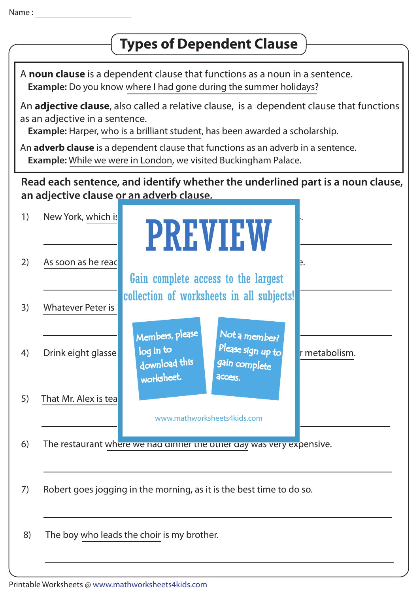